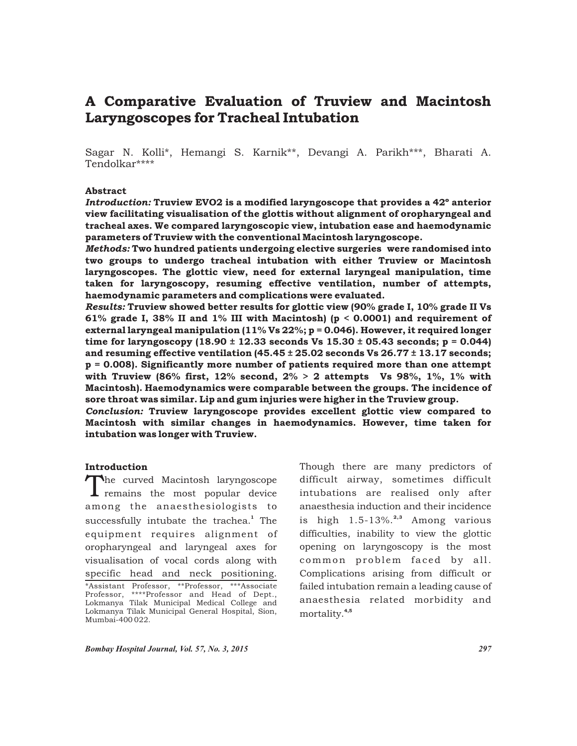# A Comparative Evaluation of Truview and Macintosh Laryngoscopes for Tracheal Intubation

Sagar N. Kolli\*, Hemangi S. Karnik\*\*, Devangi A. Parikh\*\*\*, Bharati A. Tendolkar\*\*\*\*

### Abstract

*Introduction:* Truview EVO2 is a modified laryngoscope that provides a 42º anterior view facilitating visualisation of the glottis without alignment of oropharyngeal and tracheal axes. We compared laryngoscopic view, intubation ease and haemodynamic parameters of Truview with the conventional Macintosh laryngoscope.

*Methods:* Two hundred patients undergoing elective surgeries were randomised into two groups to undergo tracheal intubation with either Truview or Macintosh laryngoscopes. The glottic view, need for external laryngeal manipulation, time taken for laryngoscopy, resuming effective ventilation, number of attempts, haemodynamic parameters and complications were evaluated.

*Results:* Truview showed better results for glottic view (90% grade I, 10% grade II Vs 61% grade I, 38% II and 1% III with Macintosh) ( $p < 0.0001$ ) and requirement of external laryngeal manipulation  $(11\%$  Vs 22%; p = 0.046). However, it required longer time for laryngoscopy (18.90  $\pm$  12.33 seconds Vs 15.30  $\pm$  05.43 seconds; p = 0.044) and resuming effective ventilation  $(45.45 \pm 25.02$  seconds Vs  $26.77 \pm 13.17$  seconds; p = 0.008). Significantly more number of patients required more than one attempt with Truview (86% first, 12% second,  $2\% > 2$  attempts Vs 98%, 1%, 1% with Macintosh). Haemodynamics were comparable between the groups. The incidence of sore throat was similar. Lip and gum injuries were higher in the Truview group.

*Conclusion:* Truview laryngoscope provides excellent glottic view compared to Macintosh with similar changes in haemodynamics. However, time taken for intubation was longer with Truview.

## Introduction

The curved Macintosh laryngoscope<br>remains the most popular device among the anaesthesiologists to successfully intubate the trachea.<sup>1</sup> The equipment requires alignment of oropharyngeal and laryngeal axes for visualisation of vocal cords along with specific head and neck positioning. \*Assistant Professor, \*\*Professor, \*\*\*Associate Professor, \*\*\*\*Professor and Head of Dept., Lokmanya Tilak Municipal Medical College and Lokmanya Tilak Municipal General Hospital, Sion, Mumbai-400 022.

Though there are many predictors of difficult airway, sometimes difficult intubations are realised only after anaesthesia induction and their incidence is high 1.5-13%.<sup>2,3</sup> Among various difficulties, inability to view the glottic opening on laryngoscopy is the most common problem faced by all. Complications arising from difficult or failed intubation remain a leading cause of anaesthesia related morbidity and mortality.<sup>4,5</sup>

*Bombay Hospital Journal, Vol. 57, No. 3, 2015 297*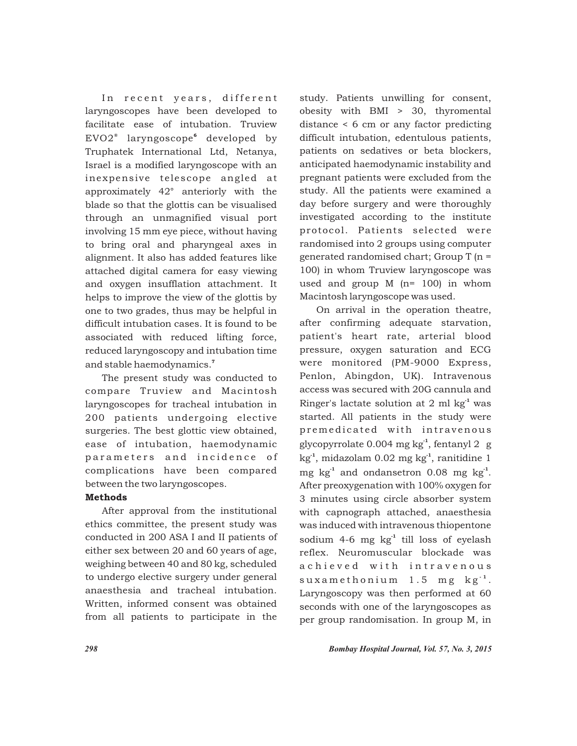In recent years, different laryngoscopes have been developed to facilitate ease of intubation. Truview  $EVO2^*$  laryngoscope<sup>6</sup> developed by Truphatek International Ltd, Netanya, Israel is a modified laryngoscope with an inexpensive telescope angled at approximately 42° anteriorly with the blade so that the glottis can be visualised through an unmagnified visual port involving 15 mm eye piece, without having to bring oral and pharyngeal axes in alignment. It also has added features like attached digital camera for easy viewing and oxygen insufflation attachment. It helps to improve the view of the glottis by one to two grades, thus may be helpful in difficult intubation cases. It is found to be associated with reduced lifting force, reduced laryngoscopy and intubation time and stable haemodynamics.<sup>7</sup>

The present study was conducted to compare Truview and Macintosh laryngoscopes for tracheal intubation in 200 patients undergoing elective surgeries. The best glottic view obtained, ease of intubation, haemodynamic parameters and incidence of complications have been compared between the two laryngoscopes.

# Methods

After approval from the institutional ethics committee, the present study was conducted in 200 ASA I and II patients of either sex between 20 and 60 years of age, weighing between 40 and 80 kg, scheduled to undergo elective surgery under general anaesthesia and tracheal intubation. Written, informed consent was obtained from all patients to participate in the

study. Patients unwilling for consent, obesity with BMI > 30, thyromental distance < 6 cm or any factor predicting difficult intubation, edentulous patients, patients on sedatives or beta blockers, anticipated haemodynamic instability and pregnant patients were excluded from the study. All the patients were examined a day before surgery and were thoroughly investigated according to the institute protocol. Patients selected were randomised into 2 groups using computer generated randomised chart; Group T (n = 100) in whom Truview laryngoscope was used and group M (n= 100) in whom Macintosh laryngoscope was used.

On arrival in the operation theatre, after confirming adequate starvation, patient's heart rate, arterial blood pressure, oxygen saturation and ECG were monitored (PM-9000 Express, Penlon, Abingdon, UK). Intravenous access was secured with 20G cannula and Ringer's lactate solution at 2 ml  $kg<sup>-1</sup>$  was started. All patients in the study were premedicated with intravenous glycopyrrolate 0.004 mg kg<sup>-1</sup>, fentanyl 2 g  $kg<sup>-1</sup>$ , midazolam 0.02 mg kg<sup>-1</sup>, ranitidine 1 mg kg<sup>-1</sup> and ondansetron 0.08 mg kg<sup>-1</sup>. After preoxygenation with 100% oxygen for 3 minutes using circle absorber system with capnograph attached, anaesthesia was induced with intravenous thiopentone sodium 4-6 mg  $kg<sup>-1</sup>$  till loss of eyelash reflex. Neuromuscular blockade was a chieved with intravenous suxamethonium 1.5 mg kg<sup>-1</sup>. Laryngoscopy was then performed at 60 seconds with one of the laryngoscopes as per group randomisation. In group M, in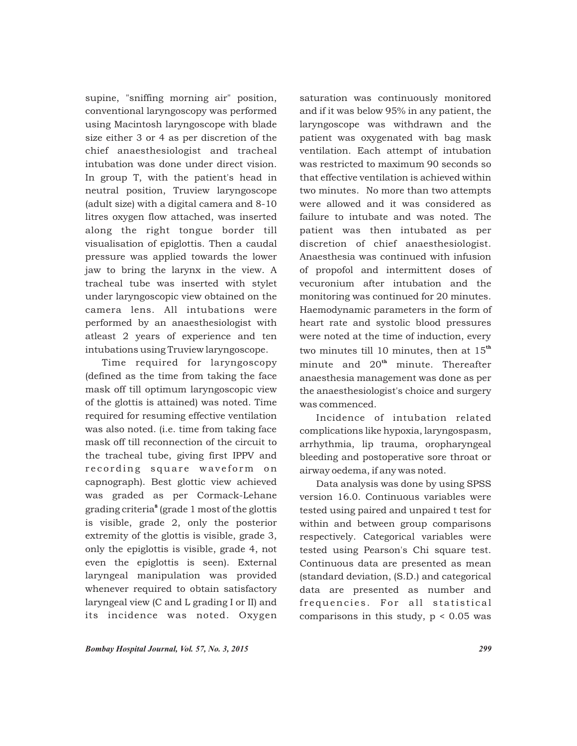supine, "sniffing morning air" position, conventional laryngoscopy was performed using Macintosh laryngoscope with blade size either 3 or 4 as per discretion of the chief anaesthesiologist and tracheal intubation was done under direct vision. In group T, with the patient's head in neutral position, Truview laryngoscope (adult size) with a digital camera and 8-10 litres oxygen flow attached, was inserted along the right tongue border till visualisation of epiglottis. Then a caudal pressure was applied towards the lower jaw to bring the larynx in the view. A tracheal tube was inserted with stylet under laryngoscopic view obtained on the camera lens. All intubations were performed by an anaesthesiologist with atleast 2 years of experience and ten intubations using Truview laryngoscope.

Time required for laryngoscopy (defined as the time from taking the face mask off till optimum laryngoscopic view of the glottis is attained) was noted. Time required for resuming effective ventilation was also noted. (i.e. time from taking face mask off till reconnection of the circuit to the tracheal tube, giving first IPPV and recording square waveform on capnograph). Best glottic view achieved was graded as per Cormack-Lehane grading criteria<sup>8</sup> (grade 1 most of the glottis is visible, grade 2, only the posterior extremity of the glottis is visible, grade 3, only the epiglottis is visible, grade 4, not even the epiglottis is seen). External laryngeal manipulation was provided whenever required to obtain satisfactory laryngeal view (C and L grading I or II) and its incidence was noted. Oxygen

saturation was continuously monitored and if it was below 95% in any patient, the laryngoscope was withdrawn and the patient was oxygenated with bag mask ventilation. Each attempt of intubation was restricted to maximum 90 seconds so that effective ventilation is achieved within two minutes. No more than two attempts were allowed and it was considered as failure to intubate and was noted. The patient was then intubated as per discretion of chief anaesthesiologist. Anaesthesia was continued with infusion of propofol and intermittent doses of vecuronium after intubation and the monitoring was continued for 20 minutes. Haemodynamic parameters in the form of heart rate and systolic blood pressures were noted at the time of induction, every two minutes till 10 minutes, then at  $15<sup>th</sup>$ minute and  $20<sup>th</sup>$  minute. Thereafter anaesthesia management was done as per the anaesthesiologist's choice and surgery was commenced.

Incidence of intubation related complications like hypoxia, laryngospasm, arrhythmia, lip trauma, oropharyngeal bleeding and postoperative sore throat or airway oedema, if any was noted.

Data analysis was done by using SPSS version 16.0. Continuous variables were tested using paired and unpaired t test for within and between group comparisons respectively. Categorical variables were tested using Pearson's Chi square test. Continuous data are presented as mean (standard deviation, (S.D.) and categorical data are presented as number and frequencies. For all statistical comparisons in this study,  $p < 0.05$  was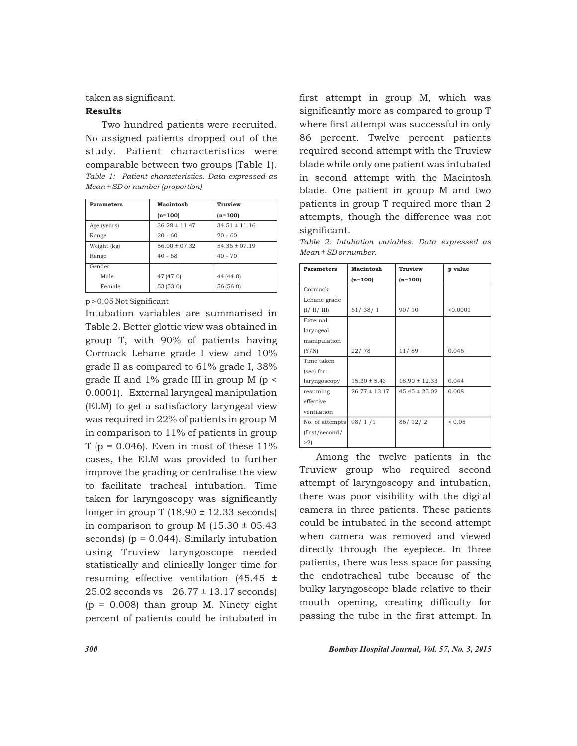taken as significant.

### Results

Two hundred patients were recruited. No assigned patients dropped out of the study. Patient characteristics were comparable between two groups (Table 1). *Table 1: Patient characteristics. Data expressed as Mean ± SD or number (proportion)*

| <b>Parameters</b> | Macintosh         | Truview           |  |
|-------------------|-------------------|-------------------|--|
|                   | $(n=100)$         | $(n=100)$         |  |
| Age (years)       | $36.28 \pm 11.47$ | $34.51 \pm 11.16$ |  |
| Range             | $20 - 60$         | $20 - 60$         |  |
| Weight (kg)       | $56.00 \pm 07.32$ | $54.36 \pm 07.19$ |  |
| Range             | $40 - 68$         | $40 - 70$         |  |
| Gender            |                   |                   |  |
| Male              | 47 (47.0)         | 44 (44.0)         |  |
| Female            | 53 (53.0)         | 56 (56.0)         |  |

p > 0.05 Not Significant

Intubation variables are summarised in Table 2. Better glottic view was obtained in group T, with 90% of patients having Cormack Lehane grade I view and 10% grade II as compared to 61% grade I, 38% grade II and 1% grade III in group M (p < 0.0001). External laryngeal manipulation (ELM) to get a satisfactory laryngeal view was required in 22% of patients in group M in comparison to 11% of patients in group T ( $p = 0.046$ ). Even in most of these 11% cases, the ELM was provided to further improve the grading or centralise the view to facilitate tracheal intubation. Time taken for laryngoscopy was significantly longer in group T  $(18.90 \pm 12.33$  seconds) in comparison to group M  $(15.30 \pm 05.43)$ seconds) ( $p = 0.044$ ). Similarly intubation using Truview laryngoscope needed statistically and clinically longer time for resuming effective ventilation (45.45 ± 25.02 seconds vs 26.77 ± 13.17 seconds)  $(p = 0.008)$  than group M. Ninety eight percent of patients could be intubated in

first attempt in group M, which was significantly more as compared to group T where first attempt was successful in only 86 percent. Twelve percent patients required second attempt with the Truview blade while only one patient was intubated in second attempt with the Macintosh blade. One patient in group M and two patients in group T required more than 2 attempts, though the difference was not significant.

*Table 2: Intubation variables. Data expressed as Mean ± SD or number.* 

| <b>Parameters</b> | <b>Macintosh</b>  | Truview           | p value     |
|-------------------|-------------------|-------------------|-------------|
|                   | $(n=100)$         | $(n=100)$         |             |
| Cormack           |                   |                   |             |
| Lehane grade      |                   |                   |             |
| (I / II / III)    | 61/38/1           | 90/10             | < 0.0001    |
| External          |                   |                   |             |
| laryngeal         |                   |                   |             |
| manipulation      |                   |                   |             |
| (Y/N)             | 22/78             | 11/89             | 0.046       |
| Time taken        |                   |                   |             |
| (sec) for:        |                   |                   |             |
| laryngoscopy      | $15.30 \pm 5.43$  | $18.90 \pm 12.33$ | 0.044       |
| resuming          | $26.77 \pm 13.17$ | $45.45 \pm 25.02$ | 0.008       |
| effective         |                   |                   |             |
| ventilation       |                   |                   |             |
| No. of attempts   | 98/1/1            | 86/12/2           | ${}_{0.05}$ |
| (first/second/    |                   |                   |             |
| >2                |                   |                   |             |

Among the twelve patients in the Truview group who required second attempt of laryngoscopy and intubation, there was poor visibility with the digital camera in three patients. These patients could be intubated in the second attempt when camera was removed and viewed directly through the eyepiece. In three patients, there was less space for passing the endotracheal tube because of the bulky laryngoscope blade relative to their mouth opening, creating difficulty for passing the tube in the first attempt. In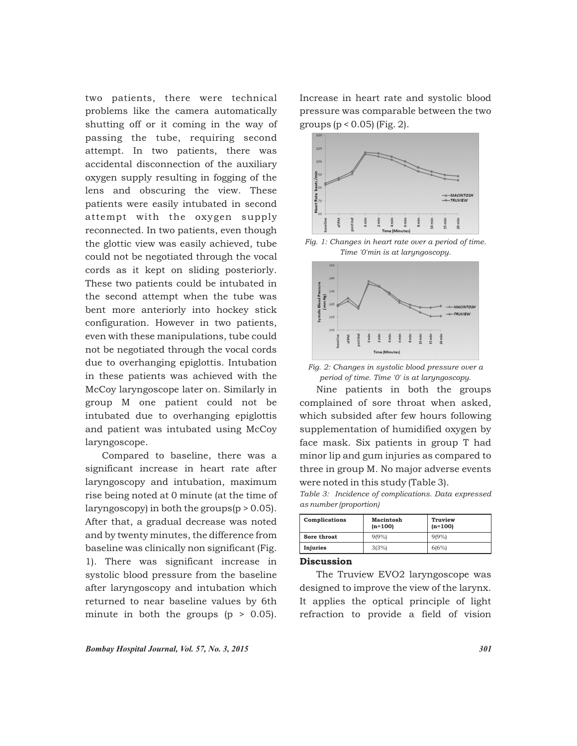two patients, there were technical problems like the camera automatically shutting off or it coming in the way of passing the tube, requiring second attempt. In two patients, there was accidental disconnection of the auxiliary oxygen supply resulting in fogging of the lens and obscuring the view. These patients were easily intubated in second attempt with the oxygen supply reconnected. In two patients, even though the glottic view was easily achieved, tube could not be negotiated through the vocal cords as it kept on sliding posteriorly. These two patients could be intubated in the second attempt when the tube was bent more anteriorly into hockey stick configuration. However in two patients, even with these manipulations, tube could not be negotiated through the vocal cords due to overhanging epiglottis. Intubation in these patients was achieved with the McCoy laryngoscope later on. Similarly in group M one patient could not be intubated due to overhanging epiglottis and patient was intubated using McCoy laryngoscope.

Compared to baseline, there was a significant increase in heart rate after laryngoscopy and intubation, maximum rise being noted at 0 minute (at the time of laryngoscopy) in both the groups $(p > 0.05)$ . After that, a gradual decrease was noted and by twenty minutes, the difference from baseline was clinically non significant (Fig. 1). There was significant increase in systolic blood pressure from the baseline after laryngoscopy and intubation which returned to near baseline values by 6th minute in both the groups  $(p > 0.05)$ .

Increase in heart rate and systolic blood pressure was comparable between the two groups (p < 0.05) (Fig. 2).



*Fig. 1: Changes in heart rate over a period of time. Time '0'min is at laryngoscopy.*



*Fig. 2: Changes in systolic blood pressure over a period of time. Time '0' is at laryngoscopy.*

Nine patients in both the groups complained of sore throat when asked, which subsided after few hours following supplementation of humidified oxygen by face mask. Six patients in group T had minor lip and gum injuries as compared to three in group M. No major adverse events were noted in this study (Table 3).

*Table 3: Incidence of complications. Data expressed as number (proportion)*

| Complications | Macintosh<br>$(n=100)$ | Truview<br>$(n=100)$ |
|---------------|------------------------|----------------------|
| Sore throat   | 9(9%                   | 9(9%                 |
| Injuries      | 3(3%)                  | 6(6%)                |

# **Discussion**

The Truview EVO2 laryngoscope was designed to improve the view of the larynx. It applies the optical principle of light refraction to provide a field of vision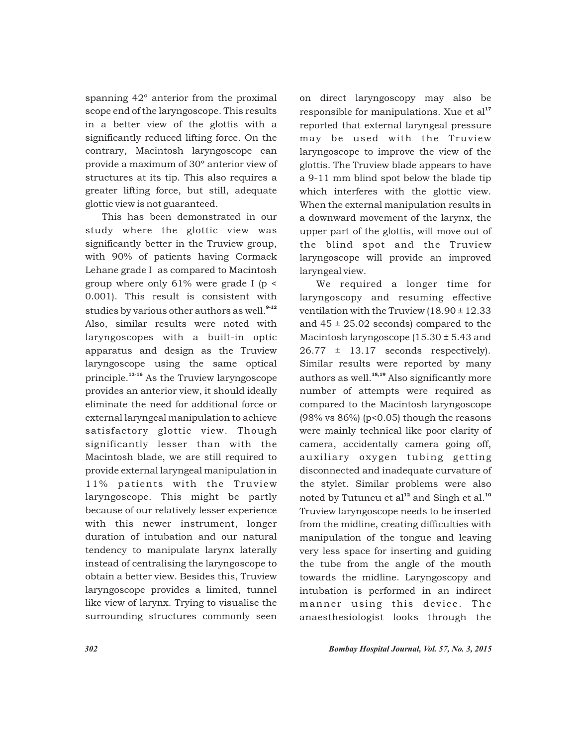spanning 42º anterior from the proximal scope end of the laryngoscope. This results in a better view of the glottis with a significantly reduced lifting force. On the contrary, Macintosh laryngoscope can provide a maximum of 30º anterior view of structures at its tip. This also requires a greater lifting force, but still, adequate glottic view is not guaranteed.

This has been demonstrated in our study where the glottic view was significantly better in the Truview group, with 90% of patients having Cormack Lehane grade I as compared to Macintosh group where only 61% were grade I (p < 0.001). This result is consistent with studies by various other authors as well.<sup>9-12</sup> Also, similar results were noted with laryngoscopes with a built-in optic apparatus and design as the Truview laryngoscope using the same optical principle.<sup>13-16</sup> As the Truview laryngoscope provides an anterior view, it should ideally eliminate the need for additional force or external laryngeal manipulation to achieve satisfactory glottic view. Though significantly lesser than with the Macintosh blade, we are still required to provide external laryngeal manipulation in 11% patients with the Truview laryngoscope. This might be partly because of our relatively lesser experience with this newer instrument, longer duration of intubation and our natural tendency to manipulate larynx laterally instead of centralising the laryngoscope to obtain a better view. Besides this, Truview laryngoscope provides a limited, tunnel like view of larynx. Trying to visualise the surrounding structures commonly seen

on direct laryngoscopy may also be responsible for manipulations. Xue et  $al<sup>17</sup>$ reported that external laryngeal pressure may be used with the Truview laryngoscope to improve the view of the glottis. The Truview blade appears to have a 9-11 mm blind spot below the blade tip which interferes with the glottic view. When the external manipulation results in a downward movement of the larynx, the upper part of the glottis, will move out of the blind spot and the Truview laryngoscope will provide an improved laryngeal view.

We required a longer time for laryngoscopy and resuming effective ventilation with the Truview (18.90 ± 12.33 and  $45 \pm 25.02$  seconds) compared to the Macintosh laryngoscope (15.30 ± 5.43 and  $26.77 \pm 13.17$  seconds respectively). Similar results were reported by many authors as well. $18,19}$  Also significantly more number of attempts were required as compared to the Macintosh laryngoscope  $(98\% \text{ vs } 86\%)$  (p<0.05) though the reasons were mainly technical like poor clarity of camera, accidentally camera going off, auxiliary oxygen tubing getting disconnected and inadequate curvature of the stylet. Similar problems were also noted by Tutuncu et  $al^{12}$  and Singh et al.<sup>10</sup> Truview laryngoscope needs to be inserted from the midline, creating difficulties with manipulation of the tongue and leaving very less space for inserting and guiding the tube from the angle of the mouth towards the midline. Laryngoscopy and intubation is performed in an indirect manner using this device. The anaesthesiologist looks through the

*302 Bombay Hospital Journal, Vol. 57, No. 3, 2015*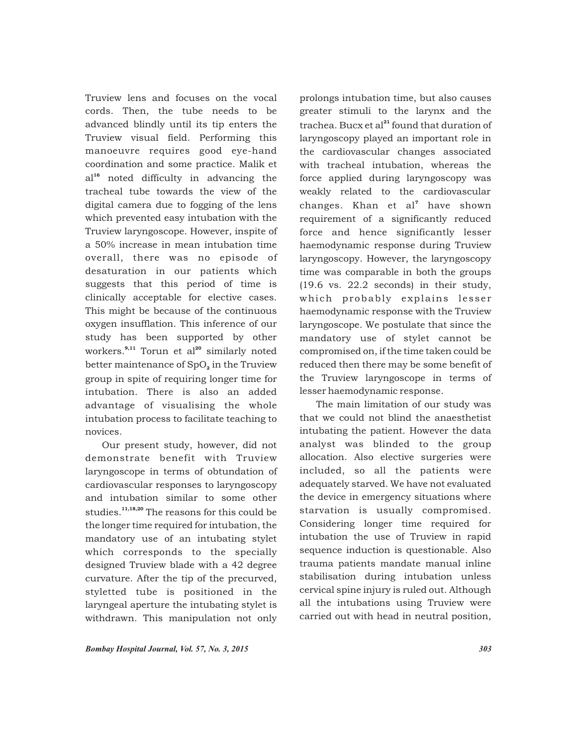Truview lens and focuses on the vocal cords. Then, the tube needs to be advanced blindly until its tip enters the Truview visual field. Performing this manoeuvre requires good eye-hand coordination and some practice. Malik et al<sup>16</sup> noted difficulty in advancing the tracheal tube towards the view of the digital camera due to fogging of the lens which prevented easy intubation with the Truview laryngoscope. However, inspite of a 50% increase in mean intubation time overall, there was no episode of desaturation in our patients which suggests that this period of time is clinically acceptable for elective cases. This might be because of the continuous oxygen insufflation. This inference of our study has been supported by other workers. $^{9,11}$  Torun et al<sup>20</sup> similarly noted better maintenance of SpO<sub>2</sub> in the Truview group in spite of requiring longer time for intubation. There is also an added advantage of visualising the whole intubation process to facilitate teaching to novices.

Our present study, however, did not demonstrate benefit with Truview laryngoscope in terms of obtundation of cardiovascular responses to laryngoscopy and intubation similar to some other studies.<sup>11,18,20</sup> The reasons for this could be the longer time required for intubation, the mandatory use of an intubating stylet which corresponds to the specially designed Truview blade with a 42 degree curvature. After the tip of the precurved, styletted tube is positioned in the laryngeal aperture the intubating stylet is withdrawn. This manipulation not only prolongs intubation time, but also causes greater stimuli to the larynx and the trachea. Bucx et al<sup>21</sup> found that duration of laryngoscopy played an important role in the cardiovascular changes associated with tracheal intubation, whereas the force applied during laryngoscopy was weakly related to the cardiovascular changes. Khan et al<sup>7</sup> have shown requirement of a significantly reduced force and hence significantly lesser haemodynamic response during Truview laryngoscopy. However, the laryngoscopy time was comparable in both the groups (19.6 vs. 22.2 seconds) in their study, which probably explains lesser haemodynamic response with the Truview laryngoscope. We postulate that since the mandatory use of stylet cannot be compromised on, if the time taken could be reduced then there may be some benefit of the Truview laryngoscope in terms of lesser haemodynamic response.

The main limitation of our study was that we could not blind the anaesthetist intubating the patient. However the data analyst was blinded to the group allocation. Also elective surgeries were included, so all the patients were adequately starved. We have not evaluated the device in emergency situations where starvation is usually compromised. Considering longer time required for intubation the use of Truview in rapid sequence induction is questionable. Also trauma patients mandate manual inline stabilisation during intubation unless cervical spine injury is ruled out. Although all the intubations using Truview were carried out with head in neutral position,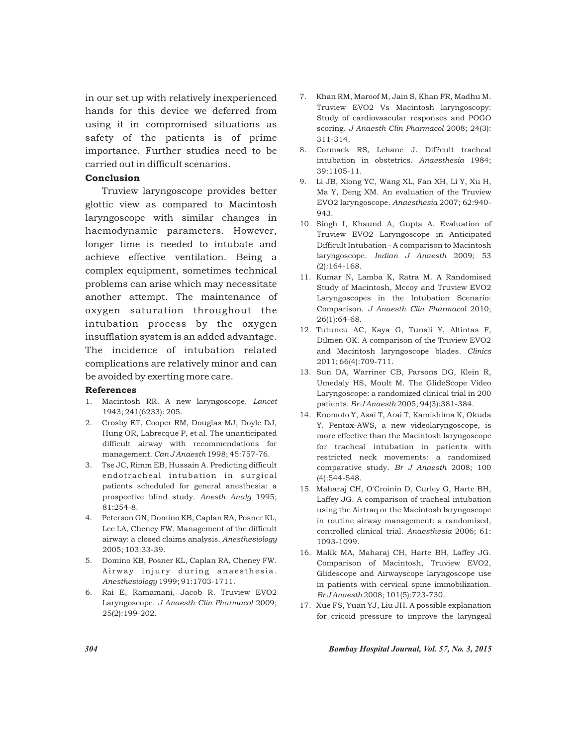in our set up with relatively inexperienced hands for this device we deferred from using it in compromised situations as safety of the patients is of prime importance. Further studies need to be carried out in difficult scenarios.

# Conclusion

Truview laryngoscope provides better glottic view as compared to Macintosh laryngoscope with similar changes in haemodynamic parameters. However, longer time is needed to intubate and achieve effective ventilation. Being a complex equipment, sometimes technical problems can arise which may necessitate another attempt. The maintenance of oxygen saturation throughout the intubation process by the oxygen insufflation system is an added advantage. The incidence of intubation related complications are relatively minor and can be avoided by exerting more care.

### References

- 1. Macintosh RR. A new laryngoscope. *Lancet* 1943; 241(6233): 205.
- 2. Crosby ET, Cooper RM, Douglas MJ, Doyle DJ, Hung OR, Labrecque P, et al. The unanticipated difficult airway with recommendations for management. *Can J Anaesth* 1998; 45:757-76.
- 3. Tse JC, Rimm EB, Hussain A. Predicting difficult endotracheal intubation in surgical patients scheduled for general anesthesia: a prospective blind study. *Anesth Analg* 1995; 81:254-8.
- 4. Peterson GN, Domino KB, Caplan RA, Posner KL, Lee LA, Cheney FW. Management of the difficult airway: a closed claims analysis. *Anesthesiology*  2005; 103:33-39.
- 5. Domino KB, Posner KL, Caplan RA, Cheney FW. Airway injury during anaesthesia. *Anesthesiology* 1999; 91:1703-1711.
- 6. Rai E, Ramamani, Jacob R. Truview EVO2 Laryngoscope. *J Anaesth Clin Pharmacol* 2009; 25(2):199-202.
- 7. Khan RM, Maroof M, Jain S, Khan FR, Madhu M. Truview EVO2 Vs Macintosh laryngoscopy: Study of cardiovascular responses and POGO scoring. *J Anaesth Clin Pharmacol* 2008; 24(3): 311-314.
- 8. Cormack RS, Lehane J. Dif?cult tracheal intubation in obstetrics. *Anaesthesia* 1984; 39:1105-11.
- 9. Li JB, Xiong YC, Wang XL, Fan XH, Li Y, Xu H, Ma Y, Deng XM. An evaluation of the Truview EVO2 laryngoscope. *Anaesthesia* 2007; 62:940- 943.
- 10. Singh I, Khaund A, Gupta A. Evaluation of Truview EVO2 Laryngoscope in Anticipated Difficult Intubation - A comparison to Macintosh laryngoscope. *Indian J Anaesth* 2009; 53 (2):164-168.
- 11. Kumar N, Lamba K, Ratra M. A Randomised Study of Macintosh, Mccoy and Truview EVO2 Laryngoscopes in the Intubation Scenario: Comparison. *J Anaesth Clin Pharmacol* 2010; 26(1):64-68.
- 12. Tutuncu AC, Kaya G, Tunali Y, Altintas F, Dilmen OK. A comparison of the Truview EVO2 and Macintosh laryngoscope blades. *Clinics* 2011; 66(4):709-711.
- 13. Sun DA, Warriner CB, Parsons DG, Klein R, Umedaly HS, Moult M. The GlideScope Video Laryngoscope: a randomized clinical trial in 200 patients. *Br J Anaesth* 2005; 94(3):381-384.
- 14. Enomoto Y, Asai T, Arai T, Kamishima K, Okuda Y. Pentax-AWS, a new videolaryngoscope, is more effective than the Macintosh laryngoscope for tracheal intubation in patients with restricted neck movements: a randomized comparative study. *Br J Anaesth* 2008; 100 (4):544-548.
- 15. Maharaj CH, O'Croinin D, Curley G, Harte BH, Laffey JG. A comparison of tracheal intubation using the Airtraq or the Macintosh laryngoscope in routine airway management: a randomised, controlled clinical trial. *Anaesthesia* 2006; 61: 1093-1099.
- 16. Malik MA, Maharaj CH, Harte BH, Laffey JG. Comparison of Macintosh, Truview EVO2, Glidescope and Airwayscope laryngoscope use in patients with cervical spine immobilization. *Br J Anaesth* 2008; 101(5):723-730.
- 17. Xue FS, Yuan YJ, Liu JH. A possible explanation for cricoid pressure to improve the laryngeal

*304 Bombay Hospital Journal, Vol. 57, No. 3, 2015*